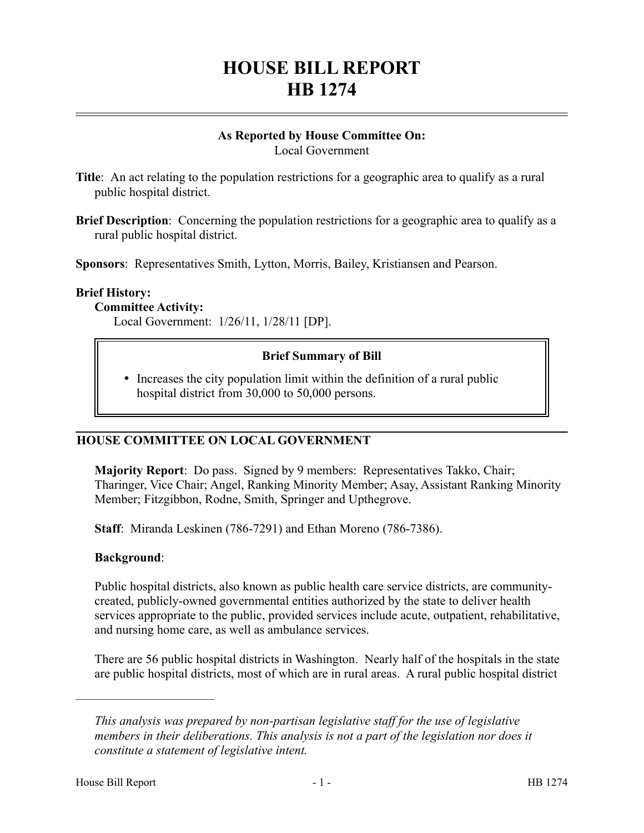# **HOUSE BILL REPORT HB 1274**

#### **As Reported by House Committee On:** Local Government

**Title**: An act relating to the population restrictions for a geographic area to qualify as a rural public hospital district.

**Brief Description**: Concerning the population restrictions for a geographic area to qualify as a rural public hospital district.

**Sponsors**: Representatives Smith, Lytton, Morris, Bailey, Kristiansen and Pearson.

#### **Brief History:**

### **Committee Activity:**

Local Government: 1/26/11, 1/28/11 [DP].

### **Brief Summary of Bill**

• Increases the city population limit within the definition of a rural public hospital district from 30,000 to 50,000 persons.

# **HOUSE COMMITTEE ON LOCAL GOVERNMENT**

**Majority Report**: Do pass. Signed by 9 members: Representatives Takko, Chair; Tharinger, Vice Chair; Angel, Ranking Minority Member; Asay, Assistant Ranking Minority Member; Fitzgibbon, Rodne, Smith, Springer and Upthegrove.

**Staff**: Miranda Leskinen (786-7291) and Ethan Moreno (786-7386).

#### **Background**:

––––––––––––––––––––––

Public hospital districts, also known as public health care service districts, are communitycreated, publicly-owned governmental entities authorized by the state to deliver health services appropriate to the public, provided services include acute, outpatient, rehabilitative, and nursing home care, as well as ambulance services.

There are 56 public hospital districts in Washington. Nearly half of the hospitals in the state are public hospital districts, most of which are in rural areas. A rural public hospital district

*This analysis was prepared by non-partisan legislative staff for the use of legislative members in their deliberations. This analysis is not a part of the legislation nor does it constitute a statement of legislative intent.*